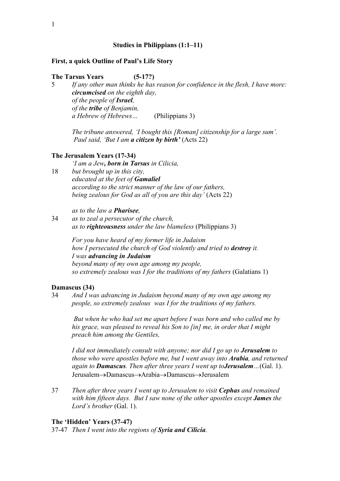# **Studies in Philippians (1:1–11)**

#### **First, a quick Outline of Paul's Life Story**

# **The Tarsus Years (5-17?)**

5 *If any other man thinks he has reason for confidence in the flesh, I have more: circumcised on the eighth day, of the people of Israel, of the tribe of Benjamin, a Hebrew of Hebrews…* (Philippians 3)

*The tribune answered, 'I bought this [Roman] citizenship for a large sum'. Paul said, 'But I am a citizen by birth'* (Acts 22)

#### **The Jerusalem Years (17-34)**

*'I am a Jew, born in Tarsus in Cilicia,* 

18 *but brought up in this city, educated at the feet of Gamaliel according to the strict manner of the law of our fathers, being zealous for God as all of you are this day'* (Acts 22)

*as to the law a Pharisee,*

34 *as to zeal a persecutor of the church, as to righteousness under the law blameless* (Philippians 3)

> *For you have heard of my former life in Judaism how I persecuted the church of God violently and tried to destroy it. I was advancing in Judaism beyond many of my own age among my people, so extremely zealous was I for the traditions of my fathers* (Galatians 1)

## **Damascus (34)**

34 *And I was advancing in Judaism beyond many of my own age among my people, so extremely zealous was I for the traditions of my fathers.* 

*But when he who had set me apart before I was born and who called me by his grace, was pleased to reveal his Son to [in] me, in order that I might preach him among the Gentiles,* 

*I did not immediately consult with anyone; nor did I go up to Jerusalem to those who were apostles before me, but I went away into Arabia, and returned again to Damascus. Then after three years I went up toJerusalem…*(Gal. 1). Jerusalem→Damascus→Arabia→Damascus→Jerusalem

37 *Then after three years I went up to Jerusalem to visit Cephas and remained with him fifteen days. But I saw none of the other apostles except James the Lord's brother* (Gal. 1).

#### **The 'Hidden' Years (37-47)**

37-47 *Then I went into the regions of Syria and Cilicia.*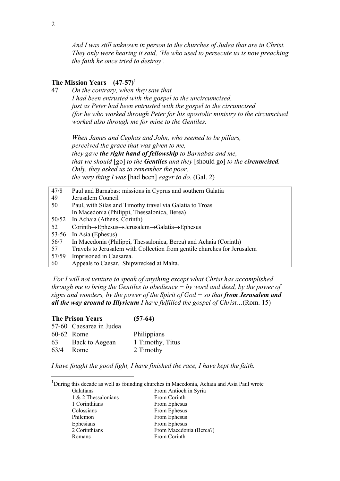*And I was still unknown in person to the churches of Judea that are in Christ. They only were hearing it said, 'He who used to persecute us is now preaching the faith he once tried to destroy'.* 

# **The Mission Years (47-57)**<sup>1</sup>

47 *On the contrary, when they saw that I had been entrusted with the gospel to the uncircumcised, just as Peter had been entrusted with the gospel to the circumcised (for he who worked through Peter for his apostolic ministry to the circumcised worked also through me for mine to the Gentiles.*

*When James and Cephas and John, who seemed to be pillars, perceived the grace that was given to me, they gave the right hand of fellowship to Barnabas and me, that we should* [go] *to the Gentiles and they* [should go] *to the circumcised. Only, they asked us to remember the poor, the very thing I was* [had been] *eager to do.* (Gal. 2)

| 47/8      | Paul and Barnabas: missions in Cyprus and southern Galatia                                  |
|-----------|---------------------------------------------------------------------------------------------|
| 49        | Jerusalem Council                                                                           |
| 50        | Paul, with Silas and Timothy travel via Galatia to Troas                                    |
|           | In Macedonia (Philippi, Thessalonica, Berea)                                                |
| 50/52     | In Achaia (Athens, Corinth)                                                                 |
| 52        | $Corinth \rightarrow Ephesus \rightarrow Jerusalem \rightarrow Galatia \rightarrow Ephesus$ |
| $53 - 56$ | In Asia (Ephesus)                                                                           |
| 56/7      | In Macedonia (Philippi, Thessalonica, Berea) and Achaia (Corinth)                           |
| 57        | Travels to Jerusalem with Collection from gentile churches for Jerusalem                    |
| 57/59     | Imprisoned in Caesarea.                                                                     |
| 60        | Appeals to Caesar. Shipwrecked at Malta.                                                    |

*For I will not venture to speak of anything except what Christ has accomplished through me to bring the Gentiles to obedience − by word and deed, by the power of signs and wonders, by the power of the Spirit of God − so that from Jerusalem and all the way around to Illyricum I have fulfilled the gospel of Christ…*(Rom. 15)

|      | <b>The Prison Years</b> | $(57-64)$        |
|------|-------------------------|------------------|
|      | 57-60 Caesarea in Judea |                  |
|      | 60-62 Rome              | Philippians      |
| 63   | Back to Aegean          | 1 Timothy, Titus |
| 63/4 | Rome                    | 2 Timothy        |

*I have fought the good fight, I have finished the race, I have kept the faith.* 

| <sup>1</sup> During this decade as well as founding churches in Macedonia, Achaia and Asia Paul wrote |
|-------------------------------------------------------------------------------------------------------|
| From Antioch in Syria                                                                                 |
| From Corinth                                                                                          |
| From Ephesus                                                                                          |
| From Ephesus                                                                                          |
| From Ephesus                                                                                          |
| From Ephesus                                                                                          |
| From Macedonia (Berea?)                                                                               |
| From Corinth                                                                                          |
|                                                                                                       |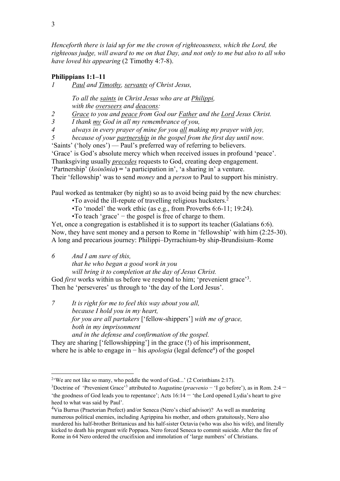*Henceforth there is laid up for me the crown of righteousness, which the Lord, the righteous judge, will award to me on that Day, and not only to me but also to all who have loved his appearing* (2 Timothy 4:7-8).

# **Philippians 1:1–11**

*1 Paul and Timothy, servants of Christ Jesus,* 

*To all the saints in Christ Jesus who are at Philippi, with the overseers and deacons:*

*2 Grace to you and peace from God our Father and the Lord Jesus Christ.*

*3 I thank my God in all my remembrance of you,* 

*4 always in every prayer of mine for you all making my prayer with joy,* 

*5 because of your partnership in the gospel from the first day until now.* 

'Saints' ('holy ones') — Paul's preferred way of referring to believers.

'Grace' is God's absolute mercy which when received issues in profound 'peace'.

Thanksgiving usually *precedes* requests to God, creating deep engagement.

'Partnership' (*koinōnia***) =** 'a participation in', 'a sharing in' a venture.

Their 'fellowship' was to send *money* and a *person* to Paul to support his ministry.

Paul worked as tentmaker (by night) so as to avoid being paid by the new churches:

•To avoid the ill-repute of travelling religious hucksters. 2

•To 'model' the work ethic (as e.g., from Proverbs 6:6-11; 19:24).

•To teach 'grace' − the gospel is free of charge to them.

Yet, once a congregation is established it is to support its teacher (Galatians 6:6). Now, they have sent money and a person to Rome in 'fellowship' with him (2:25-30). A long and precarious journey: Philippi–Dyrrachium-by ship-Brundisium–Rome

*6 And I am sure of this,* 

*that he who began a good work in you* 

*will bring it to completion at the day of Jesus Christ.*

God *first* works within us before we respond to him; 'prevenient grace'<sup>3</sup>. Then he 'perseveres' us through to 'the day of the Lord Jesus'.

*7 It is right for me to feel this way about you all, because I hold you in my heart, for you are all partakers* ['fellow-shippers'] *with me of grace, both in my imprisonment and in the defense and confirmation of the gospel.*

They are sharing ['fellowshipping'] in the grace (!) of his imprisonment, where he is able to engage in – his *apologia* (legal defence<sup>4</sup>) of the gospel

<sup>&</sup>lt;sup>2</sup> We are not like so many, who peddle the word of God...' (2 Corinthians 2:17).

<sup>&</sup>lt;sup>3</sup>Doctrine of 'Prevenient Grace'<sup>3</sup> attributed to Augustine (*praevenio* − 'I go before'), as in Rom. 2:4 − 'the goodness of God leads you to repentance'; Acts 16:14 − 'the Lord opened Lydia's heart to give heed to what was said by Paul'.

<sup>4</sup>Via Burrus (Praetorian Prefect) and/or Seneca (Nero's chief advisor)? As well as murdering numerous political enemies, including Agrippina his mother, and others gratuitously, Nero also murdered his half-brother Brittanicus and his half-sister Octavia (who was also his wife), and literally kicked to death his pregnant wife Poppaea. Nero forced Seneca to commit suicide. After the fire of Rome in 64 Nero ordered the crucifixion and immolation of 'large numbers' of Christians.